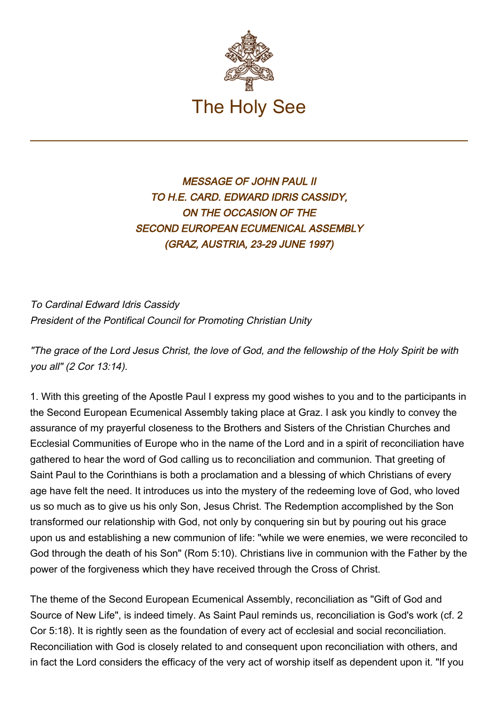

## MESSAGE OF JOHN PAUL II TO H.E. CARD. EDWARD IDRIS CASSIDY, ON THE OCCASION OF THE SECOND EUROPEAN ECUMENICAL ASSEMBLY (GRAZ, AUSTRIA, 23-29 JUNE 1997)

To Cardinal Edward Idris Cassidy President of the Pontifical Council for Promoting Christian Unity

"The grace of the Lord Jesus Christ, the love of God, and the fellowship of the Holy Spirit be with you all" (2 Cor 13:14).

1. With this greeting of the Apostle Paul I express my good wishes to you and to the participants in the Second European Ecumenical Assembly taking place at Graz. I ask you kindly to convey the assurance of my prayerful closeness to the Brothers and Sisters of the Christian Churches and Ecclesial Communities of Europe who in the name of the Lord and in a spirit of reconciliation have gathered to hear the word of God calling us to reconciliation and communion. That greeting of Saint Paul to the Corinthians is both a proclamation and a blessing of which Christians of every age have felt the need. It introduces us into the mystery of the redeeming love of God, who loved us so much as to give us his only Son, Jesus Christ. The Redemption accomplished by the Son transformed our relationship with God, not only by conquering sin but by pouring out his grace upon us and establishing a new communion of life: "while we were enemies, we were reconciled to God through the death of his Son" (Rom 5:10). Christians live in communion with the Father by the power of the forgiveness which they have received through the Cross of Christ.

The theme of the Second European Ecumenical Assembly, reconciliation as "Gift of God and Source of New Life", is indeed timely. As Saint Paul reminds us, reconciliation is God's work (cf. 2 Cor 5:18). It is rightly seen as the foundation of every act of ecclesial and social reconciliation. Reconciliation with God is closely related to and consequent upon reconciliation with others, and in fact the Lord considers the efficacy of the very act of worship itself as dependent upon it. "If you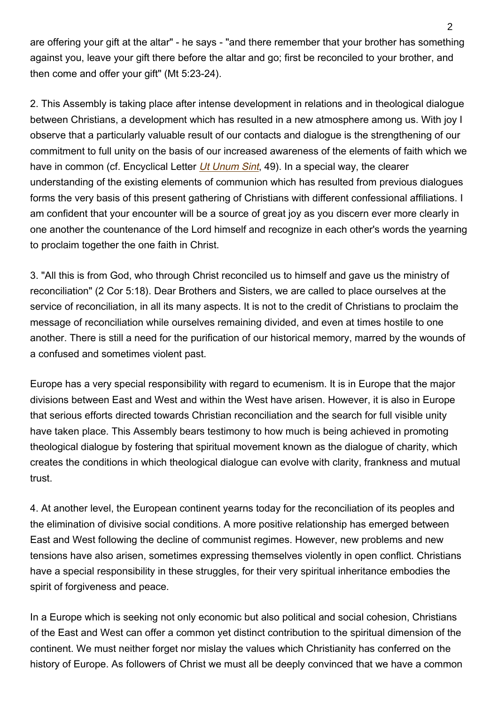are offering your gift at the altar" - he says - "and there remember that your brother has something against you, leave your gift there before the altar and go; first be reconciled to your brother, and then come and offer your gift" (Mt 5:23-24).

2. This Assembly is taking place after intense development in relations and in theological dialogue between Christians, a development which has resulted in a new atmosphere among us. With joy I observe that a particularly valuable result of our contacts and dialogue is the strengthening of our commitment to full unity on the basis of our increased awareness of the elements of faith which we have in common (cf. Encyclical Letter [Ut Unum Sint](http://www.vatican.va/edocs/ENG0221/_INDEX.HTM), 49). In a special way, the clearer understanding of the existing elements of communion which has resulted from previous dialogues forms the very basis of this present gathering of Christians with different confessional affiliations. I am confident that your encounter will be a source of great joy as you discern ever more clearly in one another the countenance of the Lord himself and recognize in each other's words the yearning to proclaim together the one faith in Christ.

3. "All this is from God, who through Christ reconciled us to himself and gave us the ministry of reconciliation" (2 Cor 5:18). Dear Brothers and Sisters, we are called to place ourselves at the service of reconciliation, in all its many aspects. It is not to the credit of Christians to proclaim the message of reconciliation while ourselves remaining divided, and even at times hostile to one another. There is still a need for the purification of our historical memory, marred by the wounds of a confused and sometimes violent past.

Europe has a very special responsibility with regard to ecumenism. It is in Europe that the major divisions between East and West and within the West have arisen. However, it is also in Europe that serious efforts directed towards Christian reconciliation and the search for full visible unity have taken place. This Assembly bears testimony to how much is being achieved in promoting theological dialogue by fostering that spiritual movement known as the dialogue of charity, which creates the conditions in which theological dialogue can evolve with clarity, frankness and mutual trust.

4. At another level, the European continent yearns today for the reconciliation of its peoples and the elimination of divisive social conditions. A more positive relationship has emerged between East and West following the decline of communist regimes. However, new problems and new tensions have also arisen, sometimes expressing themselves violently in open conflict. Christians have a special responsibility in these struggles, for their very spiritual inheritance embodies the spirit of forgiveness and peace.

In a Europe which is seeking not only economic but also political and social cohesion, Christians of the East and West can offer a common yet distinct contribution to the spiritual dimension of the continent. We must neither forget nor mislay the values which Christianity has conferred on the history of Europe. As followers of Christ we must all be deeply convinced that we have a common